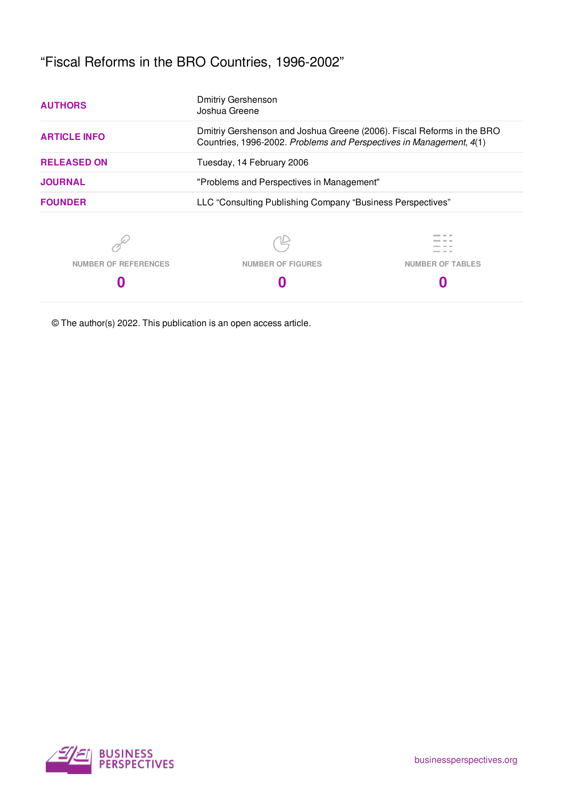# "Fiscal Reforms in the BRO Countries, 1996-2002"

| <b>AUTHORS</b>              | <b>Dmitriy Gershenson</b><br>Joshua Greene                                                                                                    |                                           |  |  |  |  |  |
|-----------------------------|-----------------------------------------------------------------------------------------------------------------------------------------------|-------------------------------------------|--|--|--|--|--|
| <b>ARTICLE INFO</b>         | Dmitriy Gershenson and Joshua Greene (2006). Fiscal Reforms in the BRO<br>Countries, 1996-2002. Problems and Perspectives in Management, 4(1) |                                           |  |  |  |  |  |
| <b>RELEASED ON</b>          | Tuesday, 14 February 2006                                                                                                                     |                                           |  |  |  |  |  |
| <b>JOURNAL</b>              |                                                                                                                                               | "Problems and Perspectives in Management" |  |  |  |  |  |
| <b>FOUNDER</b>              | LLC "Consulting Publishing Company "Business Perspectives"                                                                                    |                                           |  |  |  |  |  |
|                             |                                                                                                                                               |                                           |  |  |  |  |  |
| <b>NUMBER OF REFERENCES</b> | <b>NUMBER OF FIGURES</b>                                                                                                                      | <b>NUMBER OF TABLES</b>                   |  |  |  |  |  |
|                             |                                                                                                                                               |                                           |  |  |  |  |  |

© The author(s) 2022. This publication is an open access article.

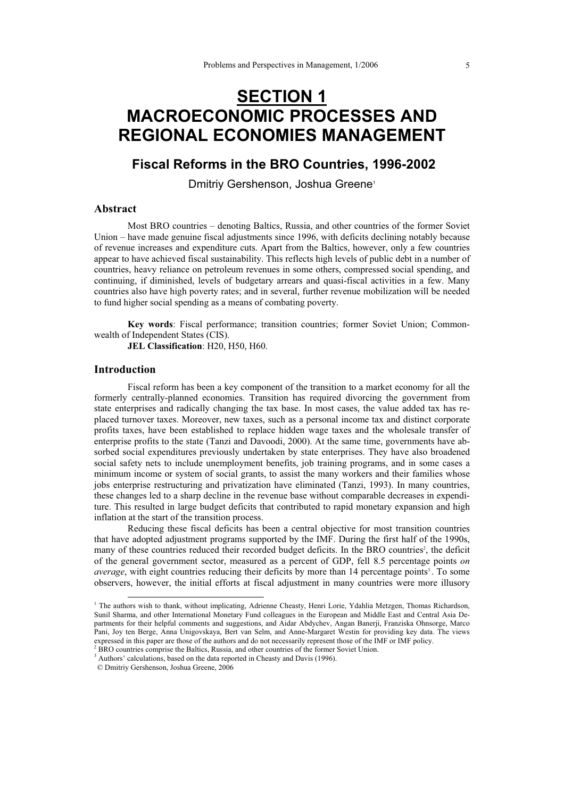# **SECTION 1 MACROECONOMIC PROCESSES AND REGIONAL ECONOMIES MANAGEMENT**

## **Fiscal Reforms in the BRO Countries, 1996-2002**

Dmitriy Gershenson, Joshua Greene<sup>1</sup>

## **Abstract**

Most BRO countries – denoting Baltics, Russia, and other countries of the former Soviet Union – have made genuine fiscal adjustments since 1996, with deficits declining notably because of revenue increases and expenditure cuts. Apart from the Baltics, however, only a few countries appear to have achieved fiscal sustainability. This reflects high levels of public debt in a number of countries, heavy reliance on petroleum revenues in some others, compressed social spending, and continuing, if diminished, levels of budgetary arrears and quasi-fiscal activities in a few. Many countries also have high poverty rates; and in several, further revenue mobilization will be needed to fund higher social spending as a means of combating poverty.

**Key words**: Fiscal performance; transition countries; former Soviet Union; Commonwealth of Independent States (CIS).

**JEL Classification**: H20, H50, H60.

## **Introduction**

Fiscal reform has been a key component of the transition to a market economy for all the formerly centrally-planned economies. Transition has required divorcing the government from state enterprises and radically changing the tax base. In most cases, the value added tax has replaced turnover taxes. Moreover, new taxes, such as a personal income tax and distinct corporate profits taxes, have been established to replace hidden wage taxes and the wholesale transfer of enterprise profits to the state (Tanzi and Davoodi, 2000). At the same time, governments have absorbed social expenditures previously undertaken by state enterprises. They have also broadened social safety nets to include unemployment benefits, job training programs, and in some cases a minimum income or system of social grants, to assist the many workers and their families whose jobs enterprise restructuring and privatization have eliminated (Tanzi, 1993). In many countries, these changes led to a sharp decline in the revenue base without comparable decreases in expenditure. This resulted in large budget deficits that contributed to rapid monetary expansion and high inflation at the start of the transition process.

Reducing these fiscal deficits has been a central objective for most transition countries that have adopted adjustment programs supported by the IMF. During the first half of the 1990s, many of these countries reduced their recorded budget deficits. In the BRO countries<sup>2</sup>, the deficit of the general government sector, measured as a percent of GDP, fell 8.5 percentage points *on average*, with eight countries reducing their deficits by more than 14 percentage points<sup>3</sup>. To some observers, however, the initial efforts at fiscal adjustment in many countries were more illusory

<sup>&</sup>lt;sup>1</sup> The authors wish to thank, without implicating, Adrienne Cheasty, Henri Lorie, Ydahlia Metzgen, Thomas Richardson, Sunil Sharma, and other International Monetary Fund colleagues in the European and Middle East and Central Asia Departments for their helpful comments and suggestions, and Aidar Abdychev, Angan Banerji, Franziska Ohnsorge, Marco Pani, Joy ten Berge, Anna Unigovskaya, Bert van Selm, and Anne-Margaret Westin for providing key data. The views expressed in this paper are those of the authors and do not necessarily represent those of the IMF or IMF policy.

<sup>2</sup> BRO countries comprise the Baltics, Russia, and other countries of the former Soviet Union.

<sup>&</sup>lt;sup>3</sup> Authors' calculations, based on the data reported in Cheasty and Davis (1996).

 <sup>©</sup> Dmitriy Gershenson, Joshua Greene, 2006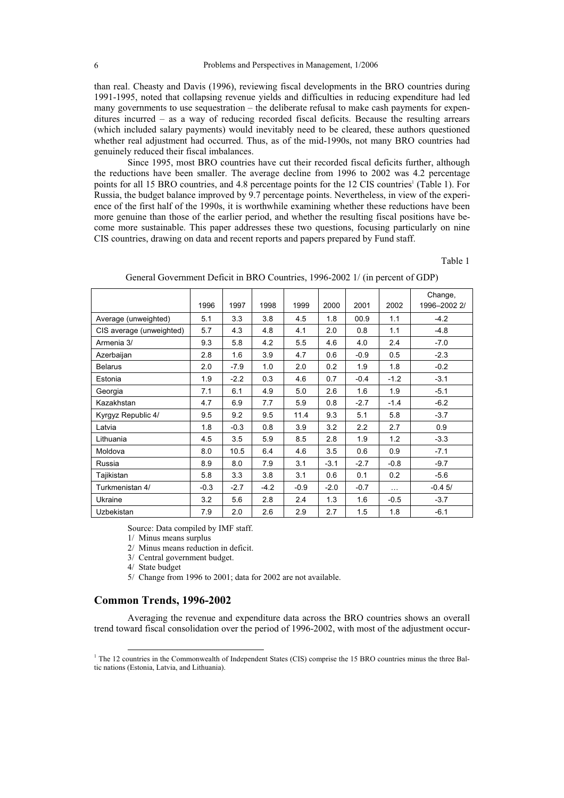than real. Cheasty and Davis (1996), reviewing fiscal developments in the BRO countries during 1991-1995, noted that collapsing revenue yields and difficulties in reducing expenditure had led many governments to use sequestration – the deliberate refusal to make cash payments for expenditures incurred – as a way of reducing recorded fiscal deficits. Because the resulting arrears (which included salary payments) would inevitably need to be cleared, these authors questioned whether real adjustment had occurred. Thus, as of the mid-1990s, not many BRO countries had genuinely reduced their fiscal imbalances.

Since 1995, most BRO countries have cut their recorded fiscal deficits further, although the reductions have been smaller. The average decline from 1996 to 2002 was 4.2 percentage points for all 15 BRO countries, and 4.8 percentage points for the 12 CIS countries<sup>1</sup> (Table 1). For Russia, the budget balance improved by 9.7 percentage points. Nevertheless, in view of the experience of the first half of the 1990s, it is worthwhile examining whether these reductions have been more genuine than those of the earlier period, and whether the resulting fiscal positions have become more sustainable. This paper addresses these two questions, focusing particularly on nine CIS countries, drawing on data and recent reports and papers prepared by Fund staff.

Table 1

|                          | 1996   | 1997   | 1998   | 1999   | 2000   | 2001   | 2002   | Change,<br>1996-2002 2/ |
|--------------------------|--------|--------|--------|--------|--------|--------|--------|-------------------------|
| Average (unweighted)     | 5.1    | 3.3    | 3.8    | 4.5    | 1.8    | 00.9   | 1.1    | $-4.2$                  |
| CIS average (unweighted) | 5.7    | 4.3    | 4.8    | 4.1    | 2.0    | 0.8    | 1.1    | $-4.8$                  |
| Armenia 3/               | 9.3    | 5.8    | 4.2    | 5.5    | 4.6    | 4.0    | 2.4    | $-7.0$                  |
| Azerbaijan               | 2.8    | 1.6    | 3.9    | 4.7    | 0.6    | $-0.9$ | 0.5    | $-2.3$                  |
| <b>Belarus</b>           | 2.0    | $-7.9$ | 1.0    | 2.0    | 0.2    | 1.9    | 1.8    | $-0.2$                  |
| Estonia                  | 1.9    | $-2.2$ | 0.3    | 4.6    | 0.7    | $-0.4$ | $-1.2$ | $-3.1$                  |
| Georgia                  | 7.1    | 6.1    | 4.9    | 5.0    | 2.6    | 1.6    | 1.9    | $-5.1$                  |
| Kazakhstan               | 4.7    | 6.9    | 7.7    | 5.9    | 0.8    | $-2.7$ | $-1.4$ | $-6.2$                  |
| Kyrgyz Republic 4/       | 9.5    | 9.2    | 9.5    | 11.4   | 9.3    | 5.1    | 5.8    | $-3.7$                  |
| Latvia                   | 1.8    | $-0.3$ | 0.8    | 3.9    | 3.2    | 2.2    | 2.7    | 0.9                     |
| Lithuania                | 4.5    | 3.5    | 5.9    | 8.5    | 2.8    | 1.9    | 1.2    | $-3.3$                  |
| Moldova                  | 8.0    | 10.5   | 6.4    | 4.6    | 3.5    | 0.6    | 0.9    | $-7.1$                  |
| Russia                   | 8.9    | 8.0    | 7.9    | 3.1    | $-3.1$ | $-2.7$ | $-0.8$ | $-9.7$                  |
| Tajikistan               | 5.8    | 3.3    | 3.8    | 3.1    | 0.6    | 0.1    | 0.2    | $-5.6$                  |
| Turkmenistan 4/          | $-0.3$ | $-2.7$ | $-4.2$ | $-0.9$ | $-2.0$ | $-0.7$ | .      | $-0.45/$                |
| Ukraine                  | 3.2    | 5.6    | 2.8    | 2.4    | 1.3    | 1.6    | $-0.5$ | $-3.7$                  |
| <b>Uzbekistan</b>        | 7.9    | 2.0    | 2.6    | 2.9    | 2.7    | 1.5    | 1.8    | $-6.1$                  |

General Government Deficit in BRO Countries, 1996-2002 1/ (in percent of GDP)

Source: Data compiled by IMF staff.

1/ Minus means surplus

2/ Minus means reduction in deficit.

3/ Central government budget.

4/ State budget

5/ Change from 1996 to 2001; data for 2002 are not available.

## **Common Trends, 1996-2002**

Averaging the revenue and expenditure data across the BRO countries shows an overall trend toward fiscal consolidation over the period of 1996-2002, with most of the adjustment occur-

<sup>&</sup>lt;sup>1</sup> The 12 countries in the Commonwealth of Independent States (CIS) comprise the 15 BRO countries minus the three Baltic nations (Estonia, Latvia, and Lithuania).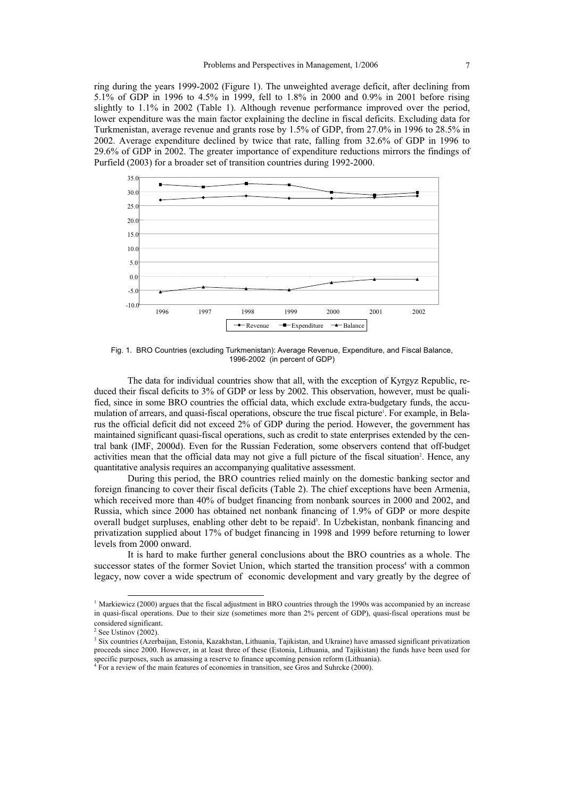ring during the years 1999-2002 (Figure 1). The unweighted average deficit, after declining from 5.1% of GDP in 1996 to 4.5% in 1999, fell to 1.8% in 2000 and 0.9% in 2001 before rising slightly to 1.1% in 2002 (Table 1). Although revenue performance improved over the period, lower expenditure was the main factor explaining the decline in fiscal deficits. Excluding data for Turkmenistan, average revenue and grants rose by 1.5% of GDP, from 27.0% in 1996 to 28.5% in 2002. Average expenditure declined by twice that rate, falling from 32.6% of GDP in 1996 to 29.6% of GDP in 2002. The greater importance of expenditure reductions mirrors the findings of Purfield (2003) for a broader set of transition countries during 1992-2000.



Fig. 1. BRO Countries (excluding Turkmenistan): Average Revenue, Expenditure, and Fiscal Balance, 1996-2002 (in percent of GDP)

The data for individual countries show that all, with the exception of Kyrgyz Republic, reduced their fiscal deficits to 3% of GDP or less by 2002. This observation, however, must be qualified, since in some BRO countries the official data, which exclude extra-budgetary funds, the accumulation of arrears, and quasi-fiscal operations, obscure the true fiscal picture'. For example, in Belarus the official deficit did not exceed 2% of GDP during the period. However, the government has maintained significant quasi-fiscal operations, such as credit to state enterprises extended by the central bank (IMF, 2000d). Even for the Russian Federation, some observers contend that off-budget activities mean that the official data may not give a full picture of the fiscal situation<sup>2</sup>. Hence, any quantitative analysis requires an accompanying qualitative assessment.

During this period, the BRO countries relied mainly on the domestic banking sector and foreign financing to cover their fiscal deficits (Table 2). The chief exceptions have been Armenia, which received more than 40% of budget financing from nonbank sources in 2000 and 2002, and Russia, which since 2000 has obtained net nonbank financing of 1.9% of GDP or more despite overall budget surpluses, enabling other debt to be repaid<sup>3</sup>. In Uzbekistan, nonbank financing and privatization supplied about 17% of budget financing in 1998 and 1999 before returning to lower levels from 2000 onward.

It is hard to make further general conclusions about the BRO countries as a whole. The successor states of the former Soviet Union, which started the transition process<sup>4</sup> with a common legacy, now cover a wide spectrum of economic development and vary greatly by the degree of

-

 $<sup>1</sup>$  Markiewicz (2000) argues that the fiscal adjustment in BRO countries through the 1990s was accompanied by an increase</sup> in quasi-fiscal operations. Due to their size (sometimes more than 2% percent of GDP), quasi-fiscal operations must be considered significant.

<sup>2</sup> See Ustinov (2002).

<sup>&</sup>lt;sup>3</sup> Six countries (Azerbaijan, Estonia, Kazakhstan, Lithuania, Tajikistan, and Ukraine) have amassed significant privatization proceeds since 2000. However, in at least three of these (Estonia, Lithuania, and Tajikistan) the funds have been used for specific purposes, such as amassing a reserve to finance upcoming pension reform (Lithuania).<br> $^{4}$  Eor a raviau of the main features of economics in transition, see Gree and Subrake (2000).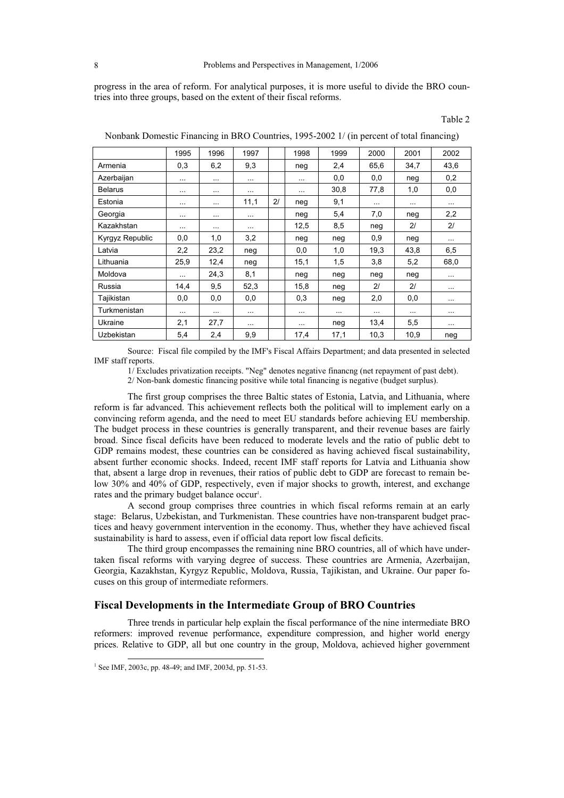progress in the area of reform. For analytical purposes, it is more useful to divide the BRO countries into three groups, based on the extent of their fiscal reforms.

Table 2

|                 | 1995     | 1996     | 1997     |    | 1998     | 1999     | 2000           | 2001           | 2002     |
|-----------------|----------|----------|----------|----|----------|----------|----------------|----------------|----------|
| Armenia         | 0,3      | 6,2      | 9,3      |    | neg      | 2.4      | 65,6           | 34,7           | 43,6     |
| Azerbaijan      | $\cdots$ | $\cdots$ | $\cdots$ |    | $\cdots$ | 0,0      | 0,0            | neg            | 0,2      |
| <b>Belarus</b>  | .        | $\cdots$ | $\cdots$ |    | $\cdots$ | 30,8     | 77,8           | 1,0            | 0,0      |
| Estonia         | .        | $\cdots$ | 11,1     | 21 | neg      | 9,1      | $\cdots$       | $\cdots$       | $\cdots$ |
| Georgia         | $\cdots$ | $\sim$   | $\cdots$ |    | neg      | 5,4      | 7,0            | neg            | 2,2      |
| Kazakhstan      |          | $\cdots$ | $\cdots$ |    | 12,5     | 8,5      | neg            | 21             | 21       |
| Kyrgyz Republic | 0,0      | 1,0      | 3,2      |    | neg      | neg      | 0,9            | neg            | $\cdots$ |
| Latvia          | 2,2      | 23,2     | neg      |    | 0,0      | 1,0      | 19,3           | 43,8           | 6,5      |
| Lithuania       | 25,9     | 12,4     | neg      |    | 15,1     | 1,5      | 3,8            | 5,2            | 68,0     |
| Moldova         |          | 24,3     | 8,1      |    | neg      | neg      | neg            | neg            | $\cdots$ |
| Russia          | 14,4     | 9,5      | 52,3     |    | 15,8     | neg      | 2 <sup>1</sup> | 2 <sup>1</sup> | $\cdots$ |
| Tajikistan      | 0,0      | 0,0      | 0,0      |    | 0,3      | neg      | 2,0            | 0,0            | $\cdots$ |
| Turkmenistan    | $\cdots$ | $\sim$   | $\cdots$ |    | $\cdots$ | $\cdots$ | $\cdots$       | $\cdots$       | $\cdots$ |
| Ukraine         | 2,1      | 27,7     | $\cdots$ |    | $\cdots$ | neg      | 13,4           | 5,5            | $\cdots$ |
| Uzbekistan      | 5,4      | 2,4      | 9,9      |    | 17,4     | 17,1     | 10,3           | 10,9           | neg      |

Nonbank Domestic Financing in BRO Countries, 1995-2002 1/ (in percent of total financing)

Source: Fiscal file compiled by the IMF's Fiscal Affairs Department; and data presented in selected IMF staff reports.

1/ Excludes privatization receipts. "Neg" denotes negative financng (net repayment of past debt). 2/ Non-bank domestic financing positive while total financing is negative (budget surplus).

The first group comprises the three Baltic states of Estonia, Latvia, and Lithuania, where reform is far advanced. This achievement reflects both the political will to implement early on a convincing reform agenda, and the need to meet EU standards before achieving EU membership. The budget process in these countries is generally transparent, and their revenue bases are fairly broad. Since fiscal deficits have been reduced to moderate levels and the ratio of public debt to GDP remains modest, these countries can be considered as having achieved fiscal sustainability, absent further economic shocks. Indeed, recent IMF staff reports for Latvia and Lithuania show that, absent a large drop in revenues, their ratios of public debt to GDP are forecast to remain below 30% and 40% of GDP, respectively, even if major shocks to growth, interest, and exchange rates and the primary budget balance occur<sup>1</sup>.

A second group comprises three countries in which fiscal reforms remain at an early stage: Belarus, Uzbekistan, and Turkmenistan. These countries have non-transparent budget practices and heavy government intervention in the economy. Thus, whether they have achieved fiscal sustainability is hard to assess, even if official data report low fiscal deficits.

The third group encompasses the remaining nine BRO countries, all of which have undertaken fiscal reforms with varying degree of success. These countries are Armenia, Azerbaijan, Georgia, Kazakhstan, Kyrgyz Republic, Moldova, Russia, Tajikistan, and Ukraine. Our paper focuses on this group of intermediate reformers.

## **Fiscal Developments in the Intermediate Group of BRO Countries**

Three trends in particular help explain the fiscal performance of the nine intermediate BRO reformers: improved revenue performance, expenditure compression, and higher world energy prices. Relative to GDP, all but one country in the group, Moldova, achieved higher government

 $\overline{a}$ 

<sup>&</sup>lt;sup>1</sup> See IMF, 2003c, pp. 48-49; and IMF, 2003d, pp. 51-53.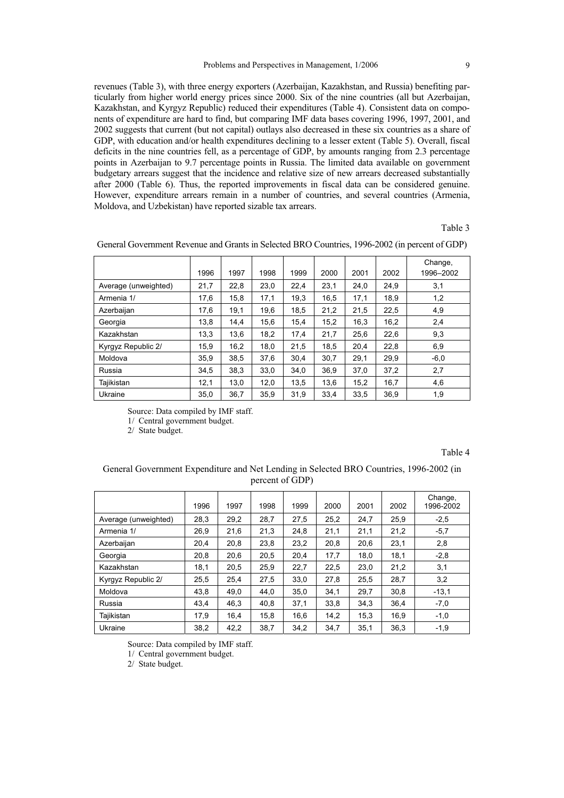revenues (Table 3), with three energy exporters (Azerbaijan, Kazakhstan, and Russia) benefiting particularly from higher world energy prices since 2000. Six of the nine countries (all but Azerbaijan, Kazakhstan, and Kyrgyz Republic) reduced their expenditures (Table 4). Consistent data on components of expenditure are hard to find, but comparing IMF data bases covering 1996, 1997, 2001, and 2002 suggests that current (but not capital) outlays also decreased in these six countries as a share of GDP, with education and/or health expenditures declining to a lesser extent (Table 5). Overall, fiscal deficits in the nine countries fell, as a percentage of GDP, by amounts ranging from 2.3 percentage points in Azerbaijan to 9.7 percentage points in Russia. The limited data available on government budgetary arrears suggest that the incidence and relative size of new arrears decreased substantially after 2000 (Table 6). Thus, the reported improvements in fiscal data can be considered genuine. However, expenditure arrears remain in a number of countries, and several countries (Armenia, Moldova, and Uzbekistan) have reported sizable tax arrears.

Table 3

|                      | 1996 | 1997 | 1998 | 1999 | 2000 | 2001 | 2002 | Change,<br>1996-2002 |
|----------------------|------|------|------|------|------|------|------|----------------------|
| Average (unweighted) | 21,7 | 22,8 | 23,0 | 22,4 | 23,1 | 24,0 | 24,9 | 3,1                  |
| Armenia 1/           | 17,6 | 15,8 | 17,1 | 19,3 | 16,5 | 17,1 | 18,9 | 1,2                  |
| Azerbaijan           | 17,6 | 19,1 | 19,6 | 18,5 | 21,2 | 21,5 | 22,5 | 4,9                  |
| Georgia              | 13,8 | 14,4 | 15,6 | 15,4 | 15,2 | 16,3 | 16,2 | 2,4                  |
| Kazakhstan           | 13,3 | 13,6 | 18,2 | 17,4 | 21,7 | 25,6 | 22,6 | 9,3                  |
| Kyrgyz Republic 2/   | 15,9 | 16,2 | 18.0 | 21.5 | 18,5 | 20,4 | 22,8 | 6,9                  |
| Moldova              | 35,9 | 38.5 | 37.6 | 30.4 | 30,7 | 29,1 | 29,9 | $-6,0$               |
| Russia               | 34.5 | 38.3 | 33.0 | 34.0 | 36.9 | 37.0 | 37,2 | 2,7                  |
| Tajikistan           | 12,1 | 13.0 | 12.0 | 13.5 | 13,6 | 15,2 | 16,7 | 4,6                  |
| Ukraine              | 35,0 | 36,7 | 35,9 | 31.9 | 33,4 | 33,5 | 36,9 | 1,9                  |

General Government Revenue and Grants in Selected BRO Countries, 1996-2002 (in percent of GDP)

Source: Data compiled by IMF staff.

1/ Central government budget.

2/ State budget.

Table 4

### General Government Expenditure and Net Lending in Selected BRO Countries, 1996-2002 (in percent of GDP)

|                      | 1996 | 1997 | 1998 | 1999 | 2000 | 2001 | 2002 | Change,<br>1996-2002 |
|----------------------|------|------|------|------|------|------|------|----------------------|
| Average (unweighted) | 28,3 | 29,2 | 28.7 | 27.5 | 25,2 | 24.7 | 25.9 | $-2,5$               |
| Armenia 1/           | 26,9 | 21,6 | 21,3 | 24.8 | 21,1 | 21,1 | 21,2 | $-5,7$               |
| Azerbaijan           | 20,4 | 20.8 | 23,8 | 23,2 | 20,8 | 20.6 | 23,1 | 2,8                  |
| Georgia              | 20,8 | 20,6 | 20,5 | 20,4 | 17,7 | 18,0 | 18,1 | $-2,8$               |
| Kazakhstan           | 18,1 | 20.5 | 25,9 | 22,7 | 22,5 | 23,0 | 21,2 | 3,1                  |
| Kyrgyz Republic 2/   | 25,5 | 25,4 | 27,5 | 33,0 | 27.8 | 25,5 | 28.7 | 3,2                  |
| Moldova              | 43.8 | 49.0 | 44.0 | 35.0 | 34,1 | 29.7 | 30.8 | $-13,1$              |
| Russia               | 43,4 | 46,3 | 40,8 | 37,1 | 33,8 | 34,3 | 36.4 | $-7,0$               |
| Tajikistan           | 17.9 | 16.4 | 15,8 | 16,6 | 14,2 | 15,3 | 16.9 | $-1,0$               |
| Ukraine              | 38,2 | 42,2 | 38,7 | 34,2 | 34,7 | 35.1 | 36,3 | $-1,9$               |

Source: Data compiled by IMF staff.

1/ Central government budget.

2/ State budget.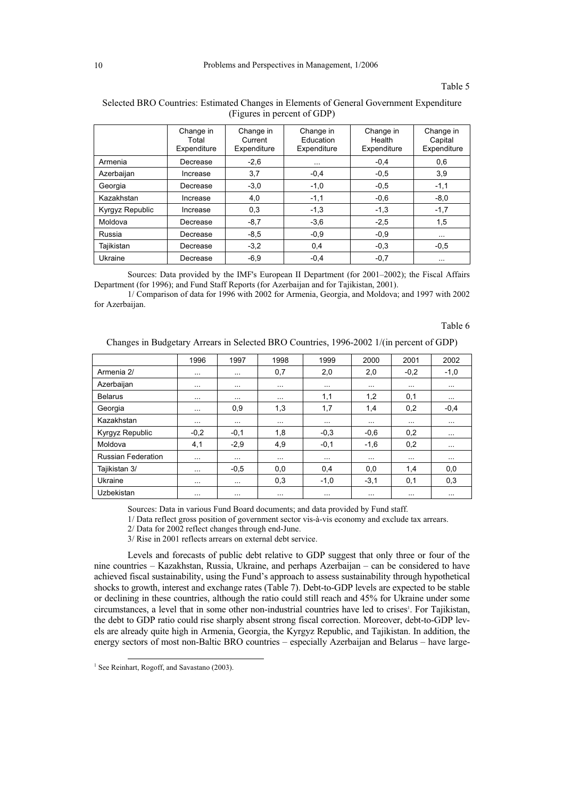#### Table 5

|                        | Change in<br>Total<br>Expenditure | Change in<br>Current<br>Expenditure | Change in<br>Education<br>Expenditure | Change in<br>Health<br>Expenditure | Change in<br>Capital<br>Expenditure |
|------------------------|-----------------------------------|-------------------------------------|---------------------------------------|------------------------------------|-------------------------------------|
| Armenia                | Decrease                          | $-2,6$                              | $\cdots$                              | $-0,4$                             | 0,6                                 |
| Azerbaijan             | Increase                          | 3,7                                 | $-0.4$                                | $-0.5$                             | 3,9                                 |
| Georgia                | Decrease                          | $-3,0$                              | $-1,0$                                | $-0.5$                             | $-1,1$                              |
| Kazakhstan             | Increase                          | 4,0                                 | $-1,1$                                | $-0,6$                             | $-8,0$                              |
| <b>Kyrgyz Republic</b> | Increase                          | 0,3                                 | $-1,3$                                | $-1,3$                             | $-1,7$                              |
| Moldova                | Decrease                          | $-8,7$                              | $-3.6$                                | $-2,5$                             | 1,5                                 |
| Russia                 | Decrease                          | $-8.5$                              | $-0.9$                                | $-0.9$                             | $\cdots$                            |
| Tajikistan             | Decrease                          | $-3,2$                              | 0,4                                   | $-0,3$                             | $-0,5$                              |
| Ukraine                | Decrease                          | $-6,9$                              | $-0.4$                                | $-0,7$                             | $\cdots$                            |

#### Selected BRO Countries: Estimated Changes in Elements of General Government Expenditure (Figures in percent of GDP)

Sources: Data provided by the IMF's European II Department (for 2001–2002); the Fiscal Affairs Department (for 1996); and Fund Staff Reports (for Azerbaijan and for Tajikistan, 2001).

1/ Comparison of data for 1996 with 2002 for Armenia, Georgia, and Moldova; and 1997 with 2002 for Azerbaijan.

Table 6

| Changes in Budgetary Arrears in Selected BRO Countries, 1996-2002 1/(in percent of GDP) |  |
|-----------------------------------------------------------------------------------------|--|
|                                                                                         |  |

|                           | 1996     | 1997     | 1998     | 1999     | 2000     | 2001     | 2002     |
|---------------------------|----------|----------|----------|----------|----------|----------|----------|
| Armenia 2/                | $\cdots$ | $\cdots$ | 0,7      | 2,0      | 2,0      | $-0,2$   | $-1,0$   |
| Azerbaijan                | $\cdots$ | $\cdots$ | $\cdots$ | $\cdots$ | $\cdots$ | $\cdots$ | $\cdots$ |
| <b>Belarus</b>            | $\cdots$ | $\cdots$ | $\cdots$ | 1,1      | 1,2      | 0,1      | $\cdots$ |
| Georgia                   | $\cdots$ | 0,9      | 1,3      | 1,7      | 1,4      | 0,2      | $-0.4$   |
| Kazakhstan                | $\cdots$ | $\cdots$ | $\cdots$ | $\cdots$ | $\cdots$ | $\cdots$ | $\cdots$ |
| Kyrgyz Republic           | $-0,2$   | $-0,1$   | 1,8      | $-0,3$   | $-0,6$   | 0,2      |          |
| Moldova                   | 4,1      | $-2,9$   | 4,9      | $-0,1$   | $-1,6$   | 0,2      |          |
| <b>Russian Federation</b> | $\cdots$ | $\cdots$ | $\cdots$ | $\cdots$ | $\cdots$ | $\cdots$ | $\cdots$ |
| Tajikistan 3/             | $\cdots$ | $-0,5$   | 0,0      | 0,4      | 0,0      | 1,4      | 0,0      |
| Ukraine                   | $\cdots$ | $\cdots$ | 0,3      | $-1,0$   | $-3,1$   | 0,1      | 0,3      |
| Uzbekistan                | $\cdots$ | $\cdots$ | $\cdots$ | $\cdots$ | $\cdots$ | $\cdots$ |          |

Sources: Data in various Fund Board documents; and data provided by Fund staff.

1/ Data reflect gross position of government sector vis-à-vis economy and exclude tax arrears.

2/ Data for 2002 reflect changes through end-June.

3/ Rise in 2001 reflects arrears on external debt service.

Levels and forecasts of public debt relative to GDP suggest that only three or four of the nine countries – Kazakhstan, Russia, Ukraine, and perhaps Azerbaijan – can be considered to have achieved fiscal sustainability, using the Fund's approach to assess sustainability through hypothetical shocks to growth, interest and exchange rates (Table 7). Debt-to-GDP levels are expected to be stable or declining in these countries, although the ratio could still reach and 45% for Ukraine under some circumstances, a level that in some other non-industrial countries have led to crises<sup>1</sup>. For Tajikistan, the debt to GDP ratio could rise sharply absent strong fiscal correction. Moreover, debt-to-GDP levels are already quite high in Armenia, Georgia, the Kyrgyz Republic, and Tajikistan. In addition, the energy sectors of most non-Baltic BRO countries – especially Azerbaijan and Belarus – have large-

 $\overline{a}$ 

<sup>&</sup>lt;sup>1</sup> See Reinhart, Rogoff, and Savastano (2003).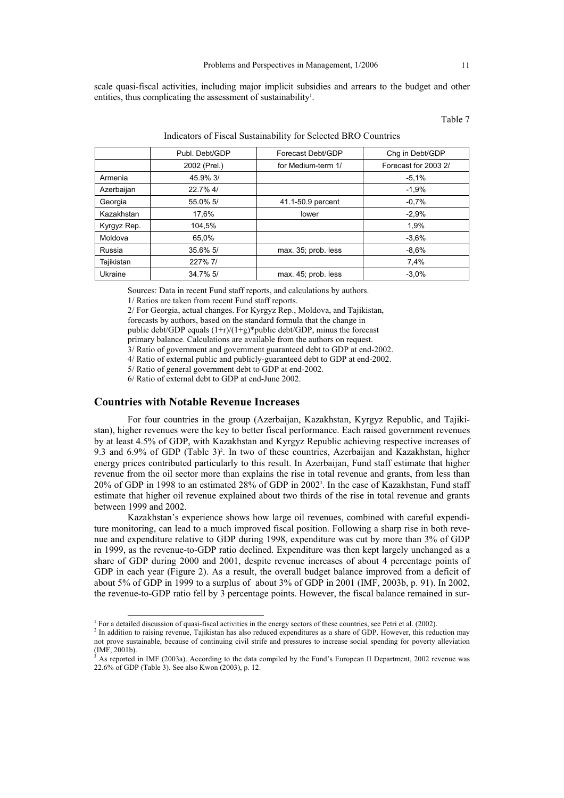scale quasi-fiscal activities, including major implicit subsidies and arrears to the budget and other entities, thus complicating the assessment of sustainability<sup>1</sup>.

Table 7

|             | Publ. Debt/GDP | Forecast Debt/GDP   | Chq in Debt/GDP      |
|-------------|----------------|---------------------|----------------------|
|             | 2002 (Prel.)   | for Medium-term 1/  | Forecast for 2003 2/ |
| Armenia     | 45.9% 3/       |                     | $-5.1%$              |
| Azerbaijan  | 22.7% 4/       |                     | $-1,9%$              |
| Georgia     | 55.0% 5/       | 41.1-50.9 percent   | $-0.7%$              |
| Kazakhstan  | 17,6%          | lower               | $-2.9%$              |
| Kyrgyz Rep. | 104,5%         |                     | 1,9%                 |
| Moldova     | 65.0%          |                     | $-3.6%$              |
| Russia      | 35.6% 5/       | max. 35; prob. less | $-8.6%$              |
| Tajikistan  | 227% 7/        |                     | 7,4%                 |
| Ukraine     | 34.7% 5/       | max. 45; prob. less | $-3.0%$              |
|             |                |                     |                      |

#### Indicators of Fiscal Sustainability for Selected BRO Countries

Sources: Data in recent Fund staff reports, and calculations by authors.

1/ Ratios are taken from recent Fund staff reports.

2/ For Georgia, actual changes. For Kyrgyz Rep., Moldova, and Tajikistan,

forecasts by authors, based on the standard formula that the change in

public debt/GDP equals  $(1+r)/(1+g)$ \*public debt/GDP, minus the forecast

primary balance. Calculations are available from the authors on request. 3/ Ratio of government and government guaranteed debt to GDP at end-2002.

4/ Ratio of external public and publicly-guaranteed debt to GDP at end-2002.

5/ Ratio of general government debt to GDP at end-2002.

6/ Ratio of external debt to GDP at end-June 2002.

#### **Countries with Notable Revenue Increases**

-

For four countries in the group (Azerbaijan, Kazakhstan, Kyrgyz Republic, and Tajikistan), higher revenues were the key to better fiscal performance. Each raised government revenues by at least 4.5% of GDP, with Kazakhstan and Kyrgyz Republic achieving respective increases of 9.3 and  $6.9\%$  of GDP (Table 3)<sup>2</sup>. In two of these countries, Azerbaijan and Kazakhstan, higher energy prices contributed particularly to this result. In Azerbaijan, Fund staff estimate that higher revenue from the oil sector more than explains the rise in total revenue and grants, from less than 20% of GDP in 1998 to an estimated 28% of GDP in 2002<sup>3</sup> . In the case of Kazakhstan, Fund staff estimate that higher oil revenue explained about two thirds of the rise in total revenue and grants between 1999 and 2002.

Kazakhstan's experience shows how large oil revenues, combined with careful expenditure monitoring, can lead to a much improved fiscal position. Following a sharp rise in both revenue and expenditure relative to GDP during 1998, expenditure was cut by more than 3% of GDP in 1999, as the revenue-to-GDP ratio declined. Expenditure was then kept largely unchanged as a share of GDP during 2000 and 2001, despite revenue increases of about 4 percentage points of GDP in each year (Figure 2). As a result, the overall budget balance improved from a deficit of about 5% of GDP in 1999 to a surplus of about 3% of GDP in 2001 (IMF, 2003b, p. 91). In 2002, the revenue-to-GDP ratio fell by 3 percentage points. However, the fiscal balance remained in sur-

<sup>&</sup>lt;sup>1</sup> For a detailed discussion of quasi-fiscal activities in the energy sectors of these countries, see Petri et al. (2002).

<sup>&</sup>lt;sup>2</sup> In addition to raising revenue, Tajikistan has also reduced expenditures as a share of GDP. However, this reduction may not prove sustainable, because of continuing civil strife and pressures to increase social spending for poverty alleviation (IMF, 2001b).

<sup>3</sup> As reported in IMF (2003a). According to the data compiled by the Fund's European II Department, 2002 revenue was 22.6% of GDP (Table 3). See also Kwon (2003), p. 12.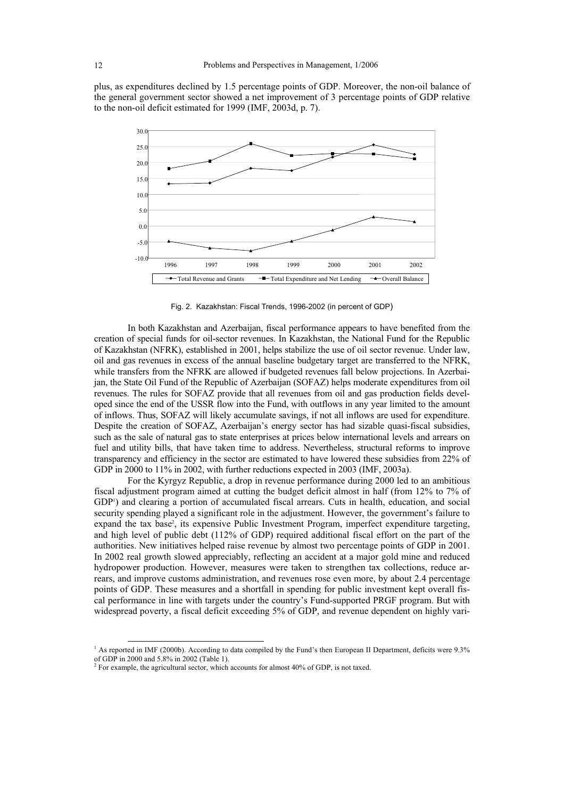plus, as expenditures declined by 1.5 percentage points of GDP. Moreover, the non-oil balance of the general government sector showed a net improvement of 3 percentage points of GDP relative to the non-oil deficit estimated for 1999 (IMF, 2003d, p. 7).



Fig. 2. Kazakhstan: Fiscal Trends, 1996-2002 (in percent of GDP)

In both Kazakhstan and Azerbaijan, fiscal performance appears to have benefited from the creation of special funds for oil-sector revenues. In Kazakhstan, the National Fund for the Republic of Kazakhstan (NFRK), established in 2001, helps stabilize the use of oil sector revenue. Under law, oil and gas revenues in excess of the annual baseline budgetary target are transferred to the NFRK, while transfers from the NFRK are allowed if budgeted revenues fall below projections. In Azerbaijan, the State Oil Fund of the Republic of Azerbaijan (SOFAZ) helps moderate expenditures from oil revenues. The rules for SOFAZ provide that all revenues from oil and gas production fields developed since the end of the USSR flow into the Fund, with outflows in any year limited to the amount of inflows. Thus, SOFAZ will likely accumulate savings, if not all inflows are used for expenditure. Despite the creation of SOFAZ, Azerbaijan's energy sector has had sizable quasi-fiscal subsidies, such as the sale of natural gas to state enterprises at prices below international levels and arrears on fuel and utility bills, that have taken time to address. Nevertheless, structural reforms to improve transparency and efficiency in the sector are estimated to have lowered these subsidies from 22% of GDP in 2000 to 11% in 2002, with further reductions expected in 2003 (IMF, 2003a).

For the Kyrgyz Republic, a drop in revenue performance during 2000 led to an ambitious fiscal adjustment program aimed at cutting the budget deficit almost in half (from 12% to 7% of GDP<sup>1</sup>) and clearing a portion of accumulated fiscal arrears. Cuts in health, education, and social security spending played a significant role in the adjustment. However, the government's failure to expand the tax base<sup>2</sup>, its expensive Public Investment Program, imperfect expenditure targeting, and high level of public debt (112% of GDP) required additional fiscal effort on the part of the authorities. New initiatives helped raise revenue by almost two percentage points of GDP in 2001. In 2002 real growth slowed appreciably, reflecting an accident at a major gold mine and reduced hydropower production. However, measures were taken to strengthen tax collections, reduce arrears, and improve customs administration, and revenues rose even more, by about 2.4 percentage points of GDP. These measures and a shortfall in spending for public investment kept overall fiscal performance in line with targets under the country's Fund-supported PRGF program. But with widespread poverty, a fiscal deficit exceeding 5% of GDP, and revenue dependent on highly vari-

<sup>&</sup>lt;sup>1</sup> As reported in IMF (2000b). According to data compiled by the Fund's then European II Department, deficits were 9.3% of GDP in 2000 and 5.8% in 2002 (Table 1).

 $2^2$  For example, the agricultural sector, which accounts for almost 40% of GDP, is not taxed.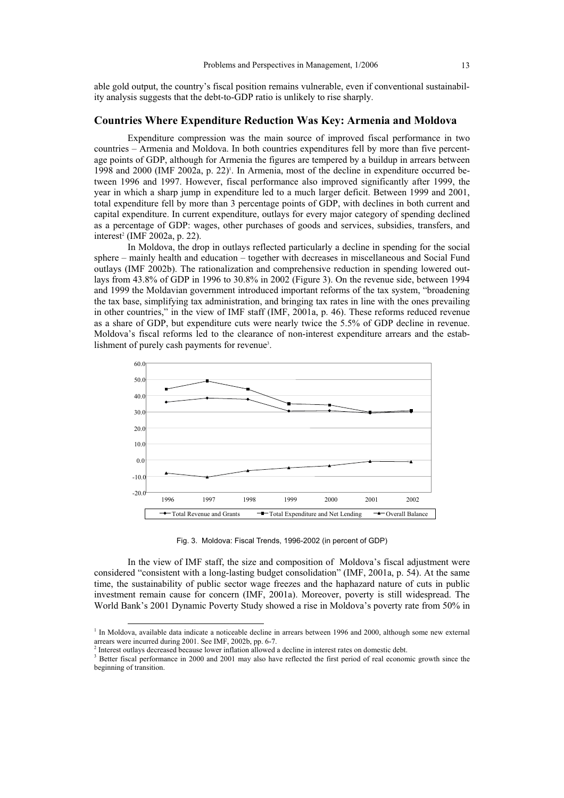able gold output, the country's fiscal position remains vulnerable, even if conventional sustainability analysis suggests that the debt-to-GDP ratio is unlikely to rise sharply.

## **Countries Where Expenditure Reduction Was Key: Armenia and Moldova**

Expenditure compression was the main source of improved fiscal performance in two countries – Armenia and Moldova. In both countries expenditures fell by more than five percentage points of GDP, although for Armenia the figures are tempered by a buildup in arrears between 1998 and 2000 (IMF 2002a, p. 22)<sup>1</sup>. In Armenia, most of the decline in expenditure occurred between 1996 and 1997. However, fiscal performance also improved significantly after 1999, the year in which a sharp jump in expenditure led to a much larger deficit. Between 1999 and 2001, total expenditure fell by more than 3 percentage points of GDP, with declines in both current and capital expenditure. In current expenditure, outlays for every major category of spending declined as a percentage of GDP: wages, other purchases of goods and services, subsidies, transfers, and interest<sup>2</sup> (IMF 2002a, p. 22).

In Moldova, the drop in outlays reflected particularly a decline in spending for the social sphere – mainly health and education – together with decreases in miscellaneous and Social Fund outlays (IMF 2002b). The rationalization and comprehensive reduction in spending lowered outlays from 43.8% of GDP in 1996 to 30.8% in 2002 (Figure 3). On the revenue side, between 1994 and 1999 the Moldavian government introduced important reforms of the tax system, "broadening the tax base, simplifying tax administration, and bringing tax rates in line with the ones prevailing in other countries," in the view of IMF staff (IMF, 2001a, p. 46). These reforms reduced revenue as a share of GDP, but expenditure cuts were nearly twice the 5.5% of GDP decline in revenue. Moldova's fiscal reforms led to the clearance of non-interest expenditure arrears and the establishment of purely cash payments for revenue<sup>3</sup>.



Fig. 3. Moldova: Fiscal Trends, 1996-2002 (in percent of GDP)

In the view of IMF staff, the size and composition of Moldova's fiscal adjustment were considered "consistent with a long-lasting budget consolidation" (IMF, 2001a, p. 54). At the same time, the sustainability of public sector wage freezes and the haphazard nature of cuts in public investment remain cause for concern (IMF, 2001a). Moreover, poverty is still widespread. The World Bank's 2001 Dynamic Poverty Study showed a rise in Moldova's poverty rate from 50% in

 $\overline{a}$ 

<sup>&</sup>lt;sup>1</sup> In Moldova, available data indicate a noticeable decline in arrears between 1996 and 2000, although some new external arrears were incurred during 2001. See IMF, 2002b, pp. 6-7.

<sup>&</sup>lt;sup>2</sup> Interest outlays decreased because lower inflation allowed a decline in interest rates on domestic debt.

<sup>&</sup>lt;sup>3</sup> Better fiscal performance in 2000 and 2001 may also have reflected the first period of real economic growth since the beginning of transition.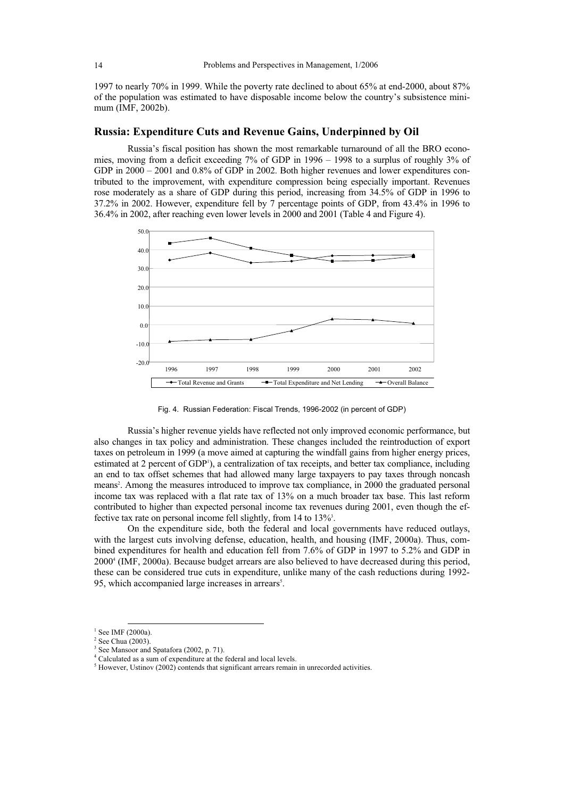1997 to nearly 70% in 1999. While the poverty rate declined to about 65% at end-2000, about 87% of the population was estimated to have disposable income below the country's subsistence minimum (IMF, 2002b).

### **Russia: Expenditure Cuts and Revenue Gains, Underpinned by Oil**

Russia's fiscal position has shown the most remarkable turnaround of all the BRO economies, moving from a deficit exceeding 7% of GDP in 1996 – 1998 to a surplus of roughly 3% of GDP in  $2000 - 2001$  and  $0.8\%$  of GDP in 2002. Both higher revenues and lower expenditures contributed to the improvement, with expenditure compression being especially important. Revenues rose moderately as a share of GDP during this period, increasing from 34.5% of GDP in 1996 to 37.2% in 2002. However, expenditure fell by 7 percentage points of GDP, from 43.4% in 1996 to 36.4% in 2002, after reaching even lower levels in 2000 and 2001 (Table 4 and Figure 4).



Fig. 4. Russian Federation: Fiscal Trends, 1996-2002 (in percent of GDP)

Russia's higher revenue yields have reflected not only improved economic performance, but also changes in tax policy and administration. These changes included the reintroduction of export taxes on petroleum in 1999 (a move aimed at capturing the windfall gains from higher energy prices, estimated at 2 percent of GDP<sup>1</sup>), a centralization of tax receipts, and better tax compliance, including an end to tax offset schemes that had allowed many large taxpayers to pay taxes through noncash means<sup>2</sup>. Among the measures introduced to improve tax compliance, in 2000 the graduated personal income tax was replaced with a flat rate tax of 13% on a much broader tax base. This last reform contributed to higher than expected personal income tax revenues during 2001, even though the effective tax rate on personal income fell slightly, from 14 to 13%<sup>3</sup>.

On the expenditure side, both the federal and local governments have reduced outlays, with the largest cuts involving defense, education, health, and housing (IMF, 2000a). Thus, combined expenditures for health and education fell from 7.6% of GDP in 1997 to 5.2% and GDP in 2000<sup>4</sup> (IMF, 2000a). Because budget arrears are also believed to have decreased during this period, these can be considered true cuts in expenditure, unlike many of the cash reductions during 1992- 95, which accompanied large increases in arrears<sup>5</sup>.

 $\overline{a}$  $1$  See IMF (2000a).

<sup>&</sup>lt;sup>2</sup> See Chua (2003).

<sup>&</sup>lt;sup>3</sup> See Mansoor and Spatafora (2002, p. 71).

<sup>4</sup> Calculated as a sum of expenditure at the federal and local levels.

 $<sup>5</sup>$  However, Ustinov (2002) contends that significant arrears remain in unrecorded activities.</sup>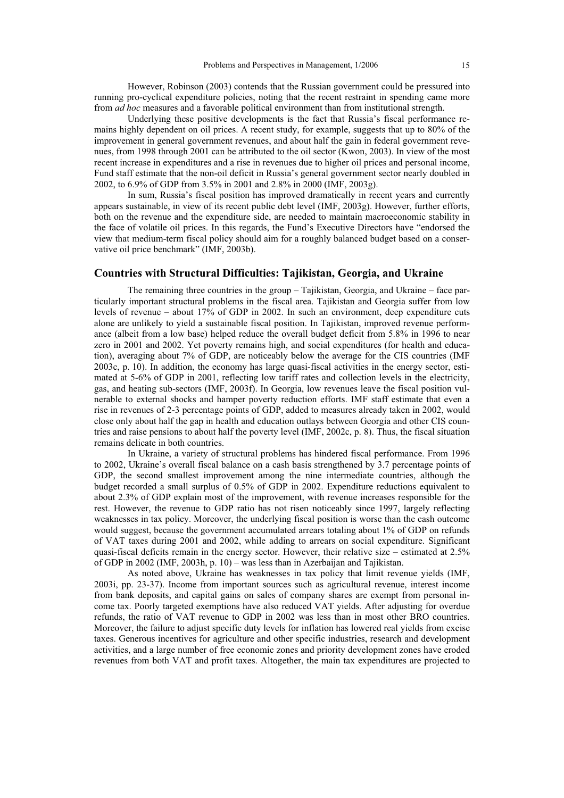However, Robinson (2003) contends that the Russian government could be pressured into running pro-cyclical expenditure policies, noting that the recent restraint in spending came more from *ad hoc* measures and a favorable political environment than from institutional strength.

Underlying these positive developments is the fact that Russia's fiscal performance remains highly dependent on oil prices. A recent study, for example, suggests that up to 80% of the improvement in general government revenues, and about half the gain in federal government revenues, from 1998 through 2001 can be attributed to the oil sector (Kwon, 2003). In view of the most recent increase in expenditures and a rise in revenues due to higher oil prices and personal income, Fund staff estimate that the non-oil deficit in Russia's general government sector nearly doubled in 2002, to 6.9% of GDP from 3.5% in 2001 and 2.8% in 2000 (IMF, 2003g).

In sum, Russia's fiscal position has improved dramatically in recent years and currently appears sustainable, in view of its recent public debt level (IMF, 2003g). However, further efforts, both on the revenue and the expenditure side, are needed to maintain macroeconomic stability in the face of volatile oil prices. In this regards, the Fund's Executive Directors have "endorsed the view that medium-term fiscal policy should aim for a roughly balanced budget based on a conservative oil price benchmark" (IMF, 2003b).

## **Countries with Structural Difficulties: Tajikistan, Georgia, and Ukraine**

The remaining three countries in the group – Tajikistan, Georgia, and Ukraine – face particularly important structural problems in the fiscal area. Tajikistan and Georgia suffer from low levels of revenue – about 17% of GDP in 2002. In such an environment, deep expenditure cuts alone are unlikely to yield a sustainable fiscal position. In Tajikistan, improved revenue performance (albeit from a low base) helped reduce the overall budget deficit from 5.8% in 1996 to near zero in 2001 and 2002. Yet poverty remains high, and social expenditures (for health and education), averaging about 7% of GDP, are noticeably below the average for the CIS countries (IMF 2003c, p. 10). In addition, the economy has large quasi-fiscal activities in the energy sector, estimated at 5-6% of GDP in 2001, reflecting low tariff rates and collection levels in the electricity, gas, and heating sub-sectors (IMF, 2003f). In Georgia, low revenues leave the fiscal position vulnerable to external shocks and hamper poverty reduction efforts. IMF staff estimate that even a rise in revenues of 2-3 percentage points of GDP, added to measures already taken in 2002, would close only about half the gap in health and education outlays between Georgia and other CIS countries and raise pensions to about half the poverty level (IMF, 2002c, p. 8). Thus, the fiscal situation remains delicate in both countries.

In Ukraine, a variety of structural problems has hindered fiscal performance. From 1996 to 2002, Ukraine's overall fiscal balance on a cash basis strengthened by 3.7 percentage points of GDP, the second smallest improvement among the nine intermediate countries, although the budget recorded a small surplus of 0.5% of GDP in 2002. Expenditure reductions equivalent to about 2.3% of GDP explain most of the improvement, with revenue increases responsible for the rest. However, the revenue to GDP ratio has not risen noticeably since 1997, largely reflecting weaknesses in tax policy. Moreover, the underlying fiscal position is worse than the cash outcome would suggest, because the government accumulated arrears totaling about 1% of GDP on refunds of VAT taxes during 2001 and 2002, while adding to arrears on social expenditure. Significant quasi-fiscal deficits remain in the energy sector. However, their relative size – estimated at 2.5% of GDP in 2002 (IMF, 2003h, p. 10) – was less than in Azerbaijan and Tajikistan.

As noted above, Ukraine has weaknesses in tax policy that limit revenue yields (IMF, 2003i, pp. 23-37). Income from important sources such as agricultural revenue, interest income from bank deposits, and capital gains on sales of company shares are exempt from personal income tax. Poorly targeted exemptions have also reduced VAT yields. After adjusting for overdue refunds, the ratio of VAT revenue to GDP in 2002 was less than in most other BRO countries. Moreover, the failure to adjust specific duty levels for inflation has lowered real yields from excise taxes. Generous incentives for agriculture and other specific industries, research and development activities, and a large number of free economic zones and priority development zones have eroded revenues from both VAT and profit taxes. Altogether, the main tax expenditures are projected to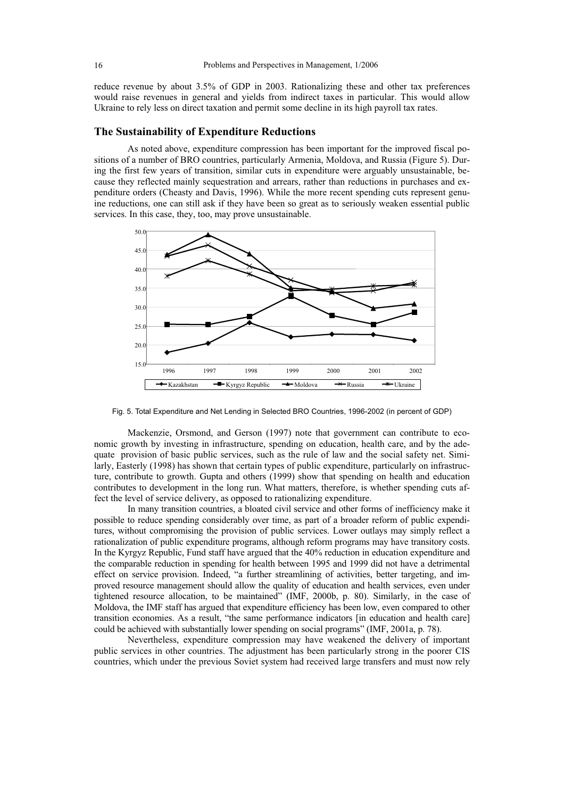reduce revenue by about 3.5% of GDP in 2003. Rationalizing these and other tax preferences would raise revenues in general and yields from indirect taxes in particular. This would allow Ukraine to rely less on direct taxation and permit some decline in its high payroll tax rates.

## **The Sustainability of Expenditure Reductions**

As noted above, expenditure compression has been important for the improved fiscal positions of a number of BRO countries, particularly Armenia, Moldova, and Russia (Figure 5). During the first few years of transition, similar cuts in expenditure were arguably unsustainable, because they reflected mainly sequestration and arrears, rather than reductions in purchases and expenditure orders (Cheasty and Davis, 1996). While the more recent spending cuts represent genuine reductions, one can still ask if they have been so great as to seriously weaken essential public services. In this case, they, too, may prove unsustainable.



Fig. 5. Total Expenditure and Net Lending in Selected BRO Countries, 1996-2002 (in percent of GDP)

Mackenzie, Orsmond, and Gerson (1997) note that government can contribute to economic growth by investing in infrastructure, spending on education, health care, and by the adequate provision of basic public services, such as the rule of law and the social safety net. Similarly, Easterly (1998) has shown that certain types of public expenditure, particularly on infrastructure, contribute to growth. Gupta and others (1999) show that spending on health and education contributes to development in the long run. What matters, therefore, is whether spending cuts affect the level of service delivery, as opposed to rationalizing expenditure.

In many transition countries, a bloated civil service and other forms of inefficiency make it possible to reduce spending considerably over time, as part of a broader reform of public expenditures, without compromising the provision of public services. Lower outlays may simply reflect a rationalization of public expenditure programs, although reform programs may have transitory costs. In the Kyrgyz Republic, Fund staff have argued that the 40% reduction in education expenditure and the comparable reduction in spending for health between 1995 and 1999 did not have a detrimental effect on service provision. Indeed, "a further streamlining of activities, better targeting, and improved resource management should allow the quality of education and health services, even under tightened resource allocation, to be maintained" (IMF, 2000b, p. 80). Similarly, in the case of Moldova, the IMF staff has argued that expenditure efficiency has been low, even compared to other transition economies. As a result, "the same performance indicators [in education and health care] could be achieved with substantially lower spending on social programs" (IMF, 2001a, p. 78).

Nevertheless, expenditure compression may have weakened the delivery of important public services in other countries. The adjustment has been particularly strong in the poorer CIS countries, which under the previous Soviet system had received large transfers and must now rely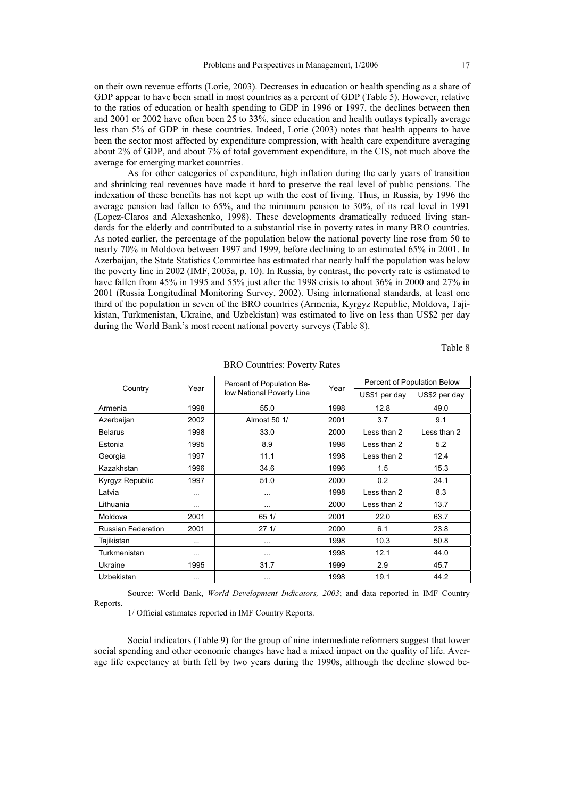on their own revenue efforts (Lorie, 2003). Decreases in education or health spending as a share of GDP appear to have been small in most countries as a percent of GDP (Table 5). However, relative to the ratios of education or health spending to GDP in 1996 or 1997, the declines between then and 2001 or 2002 have often been 25 to 33%, since education and health outlays typically average less than 5% of GDP in these countries. Indeed, Lorie (2003) notes that health appears to have been the sector most affected by expenditure compression, with health care expenditure averaging about 2% of GDP, and about 7% of total government expenditure, in the CIS, not much above the average for emerging market countries.

As for other categories of expenditure, high inflation during the early years of transition and shrinking real revenues have made it hard to preserve the real level of public pensions. The indexation of these benefits has not kept up with the cost of living. Thus, in Russia, by 1996 the average pension had fallen to 65%, and the minimum pension to 30%, of its real level in 1991 (Lopez-Claros and Alexashenko, 1998). These developments dramatically reduced living standards for the elderly and contributed to a substantial rise in poverty rates in many BRO countries. As noted earlier, the percentage of the population below the national poverty line rose from 50 to nearly 70% in Moldova between 1997 and 1999, before declining to an estimated 65% in 2001. In Azerbaijan, the State Statistics Committee has estimated that nearly half the population was below the poverty line in 2002 (IMF, 2003a, p. 10). In Russia, by contrast, the poverty rate is estimated to have fallen from 45% in 1995 and 55% just after the 1998 crisis to about 36% in 2000 and 27% in 2001 (Russia Longitudinal Monitoring Survey, 2002). Using international standards, at least one third of the population in seven of the BRO countries (Armenia, Kyrgyz Republic, Moldova, Tajikistan, Turkmenistan, Ukraine, and Uzbekistan) was estimated to live on less than US\$2 per day during the World Bank's most recent national poverty surveys (Table 8).

Table 8

|                           | Year     | Percent of Population Be- | Year |               | Percent of Population Below |
|---------------------------|----------|---------------------------|------|---------------|-----------------------------|
| Country                   |          | low National Poverty Line |      | US\$1 per day | US\$2 per day               |
| Armenia                   | 1998     | 55.0                      | 1998 | 12.8          | 49.0                        |
| Azerbaijan                | 2002     | Almost 50 1/              | 2001 | 3.7           | 9.1                         |
| <b>Belarus</b>            | 1998     | 33.0                      | 2000 | Less than 2   | Less than 2                 |
| Estonia                   | 1995     | 8.9                       | 1998 | Less than 2   | 5.2                         |
| Georgia                   | 1997     | 11.1                      | 1998 | Less than 2   | 12.4                        |
| Kazakhstan                | 1996     | 34.6                      | 1996 | 1.5           | 15.3                        |
| Kyrgyz Republic           | 1997     | 51.0                      | 2000 | 0.2           | 34.1                        |
| Latvia                    |          | $\cdots$                  | 1998 | Less than 2   | 8.3                         |
| Lithuania                 | $\cdots$ | $\cdots$                  | 2000 | Less than 2   | 13.7                        |
| Moldova                   | 2001     | 651/                      | 2001 | 22.0          | 63.7                        |
| <b>Russian Federation</b> | 2001     | 271/                      | 2000 | 6.1           | 23.8                        |
| Tajikistan                |          | $\cdots$                  | 1998 | 10.3          | 50.8                        |
| Turkmenistan              | $\cdots$ | $\cdots$                  | 1998 | 12.1          | 44.0                        |
| Ukraine                   | 1995     | 31.7                      | 1999 | 2.9           | 45.7                        |
| Uzbekistan                |          | $\cdots$                  | 1998 | 19.1          | 44.2                        |

BRO Countries: Poverty Rates

Source: World Bank, *World Development Indicators, 2003*; and data reported in IMF Country Reports.

1/ Official estimates reported in IMF Country Reports.

Social indicators (Table 9) for the group of nine intermediate reformers suggest that lower social spending and other economic changes have had a mixed impact on the quality of life. Average life expectancy at birth fell by two years during the 1990s, although the decline slowed be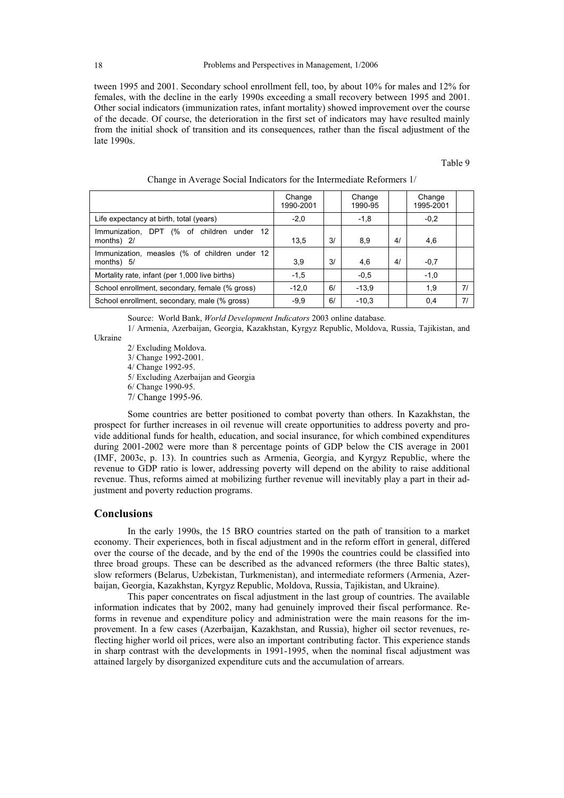tween 1995 and 2001. Secondary school enrollment fell, too, by about 10% for males and 12% for females, with the decline in the early 1990s exceeding a small recovery between 1995 and 2001. Other social indicators (immunization rates, infant mortality) showed improvement over the course of the decade. Of course, the deterioration in the first set of indicators may have resulted mainly from the initial shock of transition and its consequences, rather than the fiscal adjustment of the late 1990s.

#### Table 9

|                                                             | Change<br>1990-2001 |    | Change<br>1990-95 |    | Change<br>1995-2001 |    |
|-------------------------------------------------------------|---------------------|----|-------------------|----|---------------------|----|
| Life expectancy at birth, total (years)                     | $-2,0$              |    | $-1,8$            |    | $-0.2$              |    |
| (% of children under 12<br>Immunization, DPT<br>months) 2/  | 13,5                | 3/ | 8,9               | 4/ | 4,6                 |    |
| Immunization, measles (% of children under 12<br>months) 5/ | 3.9                 | 3/ | 4,6               | 4/ | $-0.7$              |    |
| Mortality rate, infant (per 1,000 live births)              | $-1,5$              |    | $-0.5$            |    | $-1.0$              |    |
| School enrollment, secondary, female (% gross)              | $-12,0$             | 6/ | $-13.9$           |    | 1,9                 | 71 |
| School enrollment, secondary, male (% gross)                | $-9.9$              | 6/ | $-10.3$           |    | 0,4                 | 71 |

|  |  | Change in Average Social Indicators for the Intermediate Reformers 1/ |  |
|--|--|-----------------------------------------------------------------------|--|
|  |  |                                                                       |  |

Source: World Bank, *World Development Indicators* 2003 online database.

1/ Armenia, Azerbaijan, Georgia, Kazakhstan, Kyrgyz Republic, Moldova, Russia, Tajikistan, and

Ukraine

2/ Excluding Moldova. 3/ Change 1992-2001. 4/ Change 1992-95. 5/ Excluding Azerbaijan and Georgia 6/ Change 1990-95.

7/ Change 1995-96.

Some countries are better positioned to combat poverty than others. In Kazakhstan, the prospect for further increases in oil revenue will create opportunities to address poverty and provide additional funds for health, education, and social insurance, for which combined expenditures during 2001-2002 were more than 8 percentage points of GDP below the CIS average in 2001 (IMF, 2003c, p. 13). In countries such as Armenia, Georgia, and Kyrgyz Republic, where the revenue to GDP ratio is lower, addressing poverty will depend on the ability to raise additional revenue. Thus, reforms aimed at mobilizing further revenue will inevitably play a part in their adjustment and poverty reduction programs.

## **Conclusions**

In the early 1990s, the 15 BRO countries started on the path of transition to a market economy. Their experiences, both in fiscal adjustment and in the reform effort in general, differed over the course of the decade, and by the end of the 1990s the countries could be classified into three broad groups. These can be described as the advanced reformers (the three Baltic states), slow reformers (Belarus, Uzbekistan, Turkmenistan), and intermediate reformers (Armenia, Azerbaijan, Georgia, Kazakhstan, Kyrgyz Republic, Moldova, Russia, Tajikistan, and Ukraine).

This paper concentrates on fiscal adjustment in the last group of countries. The available information indicates that by 2002, many had genuinely improved their fiscal performance. Reforms in revenue and expenditure policy and administration were the main reasons for the improvement. In a few cases (Azerbaijan, Kazakhstan, and Russia), higher oil sector revenues, reflecting higher world oil prices, were also an important contributing factor. This experience stands in sharp contrast with the developments in 1991-1995, when the nominal fiscal adjustment was attained largely by disorganized expenditure cuts and the accumulation of arrears.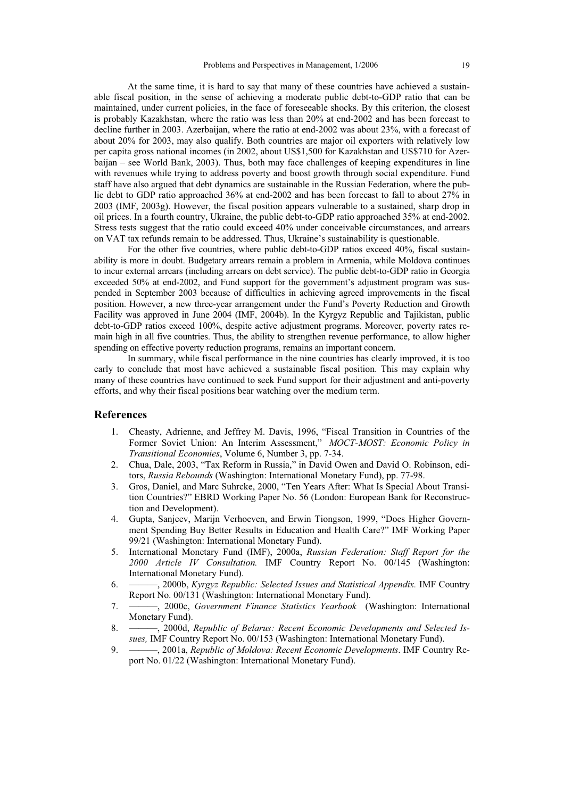At the same time, it is hard to say that many of these countries have achieved a sustainable fiscal position, in the sense of achieving a moderate public debt-to-GDP ratio that can be maintained, under current policies, in the face of foreseeable shocks. By this criterion, the closest is probably Kazakhstan, where the ratio was less than 20% at end-2002 and has been forecast to decline further in 2003. Azerbaijan, where the ratio at end-2002 was about 23%, with a forecast of about 20% for 2003, may also qualify. Both countries are major oil exporters with relatively low per capita gross national incomes (in 2002, about US\$1,500 for Kazakhstan and US\$710 for Azerbaijan – see World Bank, 2003). Thus, both may face challenges of keeping expenditures in line with revenues while trying to address poverty and boost growth through social expenditure. Fund staff have also argued that debt dynamics are sustainable in the Russian Federation, where the public debt to GDP ratio approached 36% at end-2002 and has been forecast to fall to about 27% in 2003 (IMF, 2003g). However, the fiscal position appears vulnerable to a sustained, sharp drop in oil prices. In a fourth country, Ukraine, the public debt-to-GDP ratio approached 35% at end-2002. Stress tests suggest that the ratio could exceed 40% under conceivable circumstances, and arrears on VAT tax refunds remain to be addressed. Thus, Ukraine's sustainability is questionable.

For the other five countries, where public debt-to-GDP ratios exceed 40%, fiscal sustainability is more in doubt. Budgetary arrears remain a problem in Armenia, while Moldova continues to incur external arrears (including arrears on debt service). The public debt-to-GDP ratio in Georgia exceeded 50% at end-2002, and Fund support for the government's adjustment program was suspended in September 2003 because of difficulties in achieving agreed improvements in the fiscal position. However, a new three-year arrangement under the Fund's Poverty Reduction and Growth Facility was approved in June 2004 (IMF, 2004b). In the Kyrgyz Republic and Tajikistan, public debt-to-GDP ratios exceed 100%, despite active adjustment programs. Moreover, poverty rates remain high in all five countries. Thus, the ability to strengthen revenue performance, to allow higher spending on effective poverty reduction programs, remains an important concern.

In summary, while fiscal performance in the nine countries has clearly improved, it is too early to conclude that most have achieved a sustainable fiscal position. This may explain why many of these countries have continued to seek Fund support for their adjustment and anti-poverty efforts, and why their fiscal positions bear watching over the medium term.

#### **References**

- 1. Cheasty, Adrienne, and Jeffrey M. Davis, 1996, "Fiscal Transition in Countries of the Former Soviet Union: An Interim Assessment," *MOCT-MOST: Economic Policy in Transitional Economies*, Volume 6, Number 3, pp. 7-34.
- 2. Chua, Dale, 2003, "Tax Reform in Russia," in David Owen and David O. Robinson, editors, *Russia Rebounds* (Washington: International Monetary Fund), pp. 77-98.
- 3. Gros, Daniel, and Marc Suhrcke, 2000, "Ten Years After: What Is Special About Transition Countries?" EBRD Working Paper No. 56 (London: European Bank for Reconstruction and Development).
- 4. Gupta, Sanjeev, Marijn Verhoeven, and Erwin Tiongson, 1999, "Does Higher Government Spending Buy Better Results in Education and Health Care?" IMF Working Paper 99/21 (Washington: International Monetary Fund).
- 5. International Monetary Fund (IMF), 2000a, *Russian Federation: Staff Report for the 2000 Article IV Consultation.* IMF Country Report No. 00/145 (Washington: International Monetary Fund).
- 6. ———, 2000b, *Kyrgyz Republic: Selected Issues and Statistical Appendix.* IMF Country Report No. 00/131 (Washington: International Monetary Fund).
- 7. ———, 2000c, *Government Finance Statistics Yearbook* (Washington: International Monetary Fund).
- 8. ———, 2000d, *Republic of Belarus: Recent Economic Developments and Selected Issues,* IMF Country Report No. 00/153 (Washington: International Monetary Fund).
- 9. ———, 2001a, *Republic of Moldova: Recent Economic Developments*. IMF Country Report No. 01/22 (Washington: International Monetary Fund).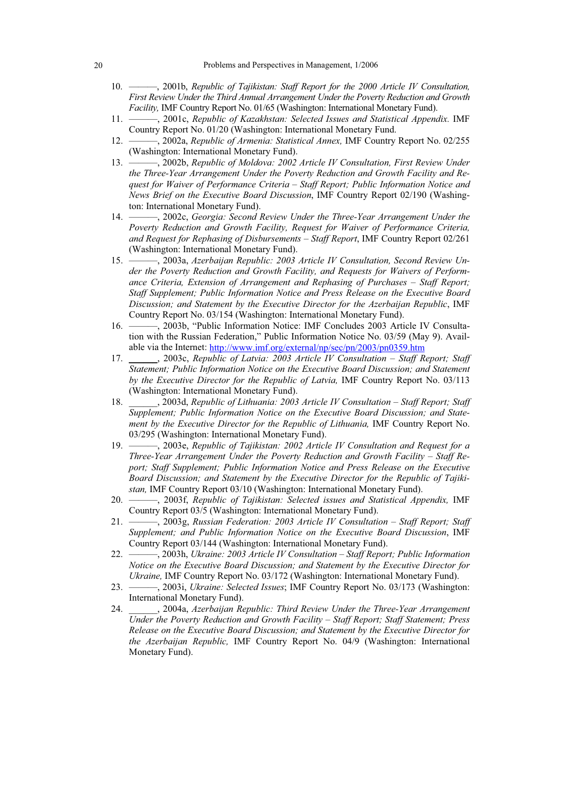- 10. ———, 2001b, *Republic of Tajikistan: Staff Report for the 2000 Article IV Consultation, First Review Under the Third Annual Arrangement Under the Poverty Reduction and Growth Facility,* IMF Country Report No. 01/65 (Washington: International Monetary Fund).
- 11. ———, 2001c, *Republic of Kazakhstan: Selected Issues and Statistical Appendix.* IMF Country Report No. 01/20 (Washington: International Monetary Fund.
- 12. ———, 2002a, *Republic of Armenia: Statistical Annex,* IMF Country Report No. 02/255 (Washington: International Monetary Fund).
- 13. ———, 2002b, *Republic of Moldova: 2002 Article IV Consultation, First Review Under the Three-Year Arrangement Under the Poverty Reduction and Growth Facility and Request for Waiver of Performance Criteria – Staff Report; Public Information Notice and News Brief on the Executive Board Discussion*, IMF Country Report 02/190 (Washington: International Monetary Fund).
- 14. ———, 2002c, *Georgia: Second Review Under the Three-Year Arrangement Under the Poverty Reduction and Growth Facility, Request for Waiver of Performance Criteria, and Request for Rephasing of Disbursements – Staff Report*, IMF Country Report 02/261 (Washington: International Monetary Fund).
- 15. ———, 2003a, *Azerbaijan Republic: 2003 Article IV Consultation, Second Review Under the Poverty Reduction and Growth Facility, and Requests for Waivers of Performance Criteria, Extension of Arrangement and Rephasing of Purchases – Staff Report; Staff Supplement; Public Information Notice and Press Release on the Executive Board Discussion; and Statement by the Executive Director for the Azerbaijan Republic*, IMF Country Report No. 03/154 (Washington: International Monetary Fund).
- 16. ———, 2003b, "Public Information Notice: IMF Concludes 2003 Article IV Consultation with the Russian Federation," Public Information Notice No. 03/59 (May 9). Available via the Internet: http://www.imf.org/external/np/sec/pn/2003/pn0359.htm
- 17. \_\_\_\_\_\_, 2003c, *Republic of Latvia: 2003 Article IV Consultation Staff Report; Staff Statement; Public Information Notice on the Executive Board Discussion; and Statement by the Executive Director for the Republic of Latvia,* IMF Country Report No. 03/113 (Washington: International Monetary Fund).
- 18. \_\_\_\_\_\_, 2003d, *Republic of Lithuania: 2003 Article IV Consultation Staff Report; Staff Supplement; Public Information Notice on the Executive Board Discussion; and Statement by the Executive Director for the Republic of Lithuania,* IMF Country Report No. 03/295 (Washington: International Monetary Fund).
- 19. ———, 2003e, *Republic of Tajikistan: 2002 Article IV Consultation and Request for a Three-Year Arrangement Under the Poverty Reduction and Growth Facility – Staff Report; Staff Supplement; Public Information Notice and Press Release on the Executive Board Discussion; and Statement by the Executive Director for the Republic of Tajikistan,* IMF Country Report 03/10 (Washington: International Monetary Fund).
- 20. ———, 2003f, *Republic of Tajikistan: Selected issues and Statistical Appendix,* IMF Country Report 03/5 (Washington: International Monetary Fund).
- 21. ———, 2003g, *Russian Federation: 2003 Article IV Consultation Staff Report; Staff Supplement; and Public Information Notice on the Executive Board Discussion*, IMF Country Report 03/144 (Washington: International Monetary Fund).
- 22. ———, 2003h, *Ukraine: 2003 Article IV Consultation Staff Report; Public Information Notice on the Executive Board Discussion; and Statement by the Executive Director for Ukraine,* IMF Country Report No. 03/172 (Washington: International Monetary Fund).
- 23. ———, 2003i, *Ukraine: Selected Issues*; IMF Country Report No. 03/173 (Washington: International Monetary Fund).
- 24. \_\_\_\_\_\_, 2004a, *Azerbaijan Republic: Third Review Under the Three-Year Arrangement Under the Poverty Reduction and Growth Facility – Staff Report; Staff Statement; Press Release on the Executive Board Discussion; and Statement by the Executive Director for the Azerbaijan Republic,* IMF Country Report No. 04/9 (Washington: International Monetary Fund).